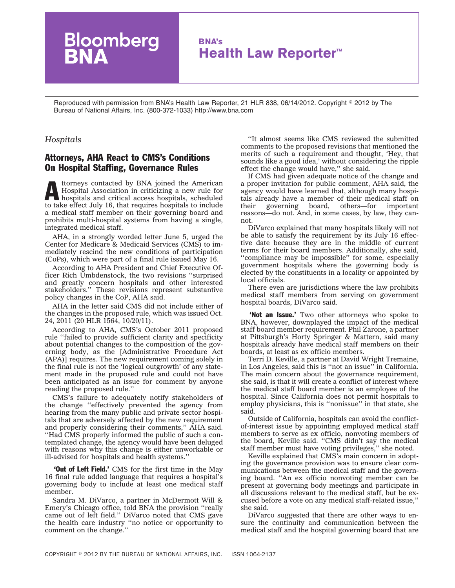## **BNA's Health Law Reporter™**

Reproduced with permission from BNA's Health Law Reporter, 21 HLR 838, 06/14/2012. Copyright © 2012 by The Bureau of National Affairs, Inc. (800-372-1033) http://www.bna.com

## *Hospitals*

## Attorneys, AHA React to CMS's Conditions On Hospital Staffing, Governance Rules

loomberg

Attorneys contacted by BNA joined the American<br>Hospital Association in criticizing a new rule for<br>hospitals and critical access hospitals, scheduled<br>to take offert July 16, that requires homitals to include Hospital Association in criticizing a new rule for to take effect July 16, that requires hospitals to include a medical staff member on their governing board and prohibits multi-hospital systems from having a single, integrated medical staff.

AHA, in a strongly worded [letter](http://op.bna.com/hl.nsf/r?Open=nwel-8v3rjq) June 5, urged the Center for Medicare & Medicaid Services (CMS) to immediately rescind the new conditions of participation (CoPs), which were part of a final rule issued May 16.

According to AHA President and Chief Executive Officer Rich Umbdenstock, the two revisions ''surprised and greatly concern hospitals and other interested stakeholders.'' These revisions represent substantive policy changes in the CoP, AHA said.

AHA in the letter said CMS did not include either of the changes in the proposed rule, which was issued Oct. 24, 2011 (20 HLR 1564, 10/20/11).

According to AHA, CMS's October 2011 proposed rule ''failed to provide sufficient clarity and specificity about potential changes to the composition of the governing body, as the [Administrative Procedure Act (APA)] requires. The new requirement coming solely in the final rule is not the 'logical outgrowth' of any statement made in the proposed rule and could not have been anticipated as an issue for comment by anyone reading the proposed rule.''

CMS's failure to adequately notify stakeholders of the change ''effectively prevented the agency from hearing from the many public and private sector hospitals that are adversely affected by the new requirement and properly considering their comments,'' AHA said. ''Had CMS properly informed the public of such a contemplated change, the agency would have been deluged with reasons why this change is either unworkable or ill-advised for hospitals and health systems.''

**Out of Left Field.'** CMS for the first time in the May 16 final rule added language that requires a hospital's governing body to include at least one medical staff member.

Sandra M. DiVarco, a partner in McDermott Will & Emery's Chicago office, told BNA the provision ''really came out of left field.'' DiVarco noted that CMS gave the health care industry ''no notice or opportunity to comment on the change.''

''It almost seems like CMS reviewed the submitted comments to the proposed revisions that mentioned the merits of such a requirement and thought, 'Hey, that sounds like a good idea,' without considering the ripple effect the change would have," she said.

If CMS had given adequate notice of the change and a proper invitation for public comment, AHA said, the agency would have learned that, although many hospitals already have a member of their medical staff on their governing board, others—for important governing reasons—do not. And, in some cases, by law, they cannot.

DiVarco explained that many hospitals likely will not be able to satisfy the requirement by its July 16 effective date because they are in the middle of current terms for their board members. Additionally, she said, ''compliance may be impossible'' for some, especially government hospitals where the governing body is elected by the constituents in a locality or appointed by local officials.

There even are jurisdictions where the law prohibits medical staff members from serving on government hospital boards, DiVarco said.

**'Not an Issue.'** Two other attorneys who spoke to BNA, however, downplayed the impact of the medical staff board member requirement. Phil Zarone, a partner at Pittsburgh's Horty Springer & Mattern, said many hospitals already have medical staff members on their boards, at least as ex officio members.

Terri D. Keville, a partner at David Wright Tremaine, in Los Angeles, said this is ''not an issue'' in California. The main concern about the governance requirement, she said, is that it will create a conflict of interest where the medical staff board member is an employee of the hospital. Since California does not permit hospitals to employ physicians, this is ''nonissue'' in that state, she said.

Outside of California, hospitals can avoid the conflictof-interest issue by appointing employed medical staff members to serve as ex officio, nonvoting members of the board, Keville said. ''CMS didn't say the medical staff member must have voting privileges,'' she noted.

Keville explained that CMS's main concern in adopting the governance provision was to ensure clear communications between the medical staff and the governing board. ''An ex officio nonvoting member can be present at governing body meetings and participate in all discussions relevant to the medical staff, but be excused before a vote on any medical staff-related issue,'' she said.

DiVarco suggested that there are other ways to ensure the continuity and communication between the medical staff and the hospital governing board that are